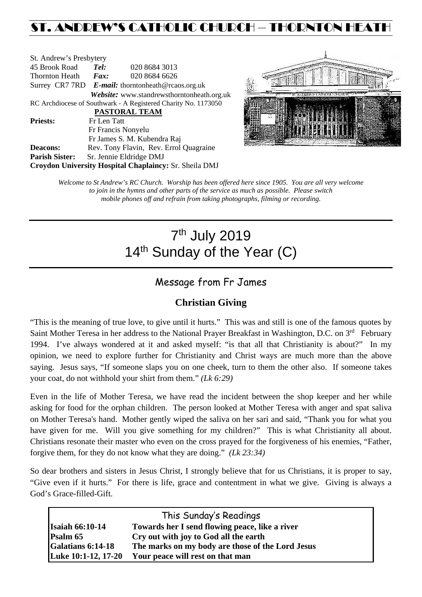# ST. ANDREW'S CATHOLIC CHURCH – THORNTON HEAT

| St. Andrew's Presbytery                                        |                                                   |                                            |  |  |  |
|----------------------------------------------------------------|---------------------------------------------------|--------------------------------------------|--|--|--|
| 45 Brook Road                                                  | Tel:                                              | 020 8684 3013                              |  |  |  |
| Thornton Heath                                                 | $\boldsymbol{Fax:}$                               | 020 8684 6626                              |  |  |  |
|                                                                | Surrey CR7 7RD E-mail: thorntonheath@rcaos.org.uk |                                            |  |  |  |
|                                                                |                                                   | Website: www.standrewsthorntonheath.org.uk |  |  |  |
| RC Archdiocese of Southwark - A Registered Charity No. 1173050 |                                                   |                                            |  |  |  |
| PASTORAL TEAM                                                  |                                                   |                                            |  |  |  |
| <b>Priests:</b>                                                | Fr Len Tatt                                       |                                            |  |  |  |
|                                                                |                                                   | Fr Francis Nonyelu                         |  |  |  |
|                                                                |                                                   | Fr James S. M. Kubendra Raj                |  |  |  |
| <b>Deacons:</b>                                                |                                                   | Rev. Tony Flavin, Rev. Errol Quagraine     |  |  |  |
| <b>Parish Sister:</b>                                          |                                                   | Sr. Jennie Eldridge DMJ                    |  |  |  |
| Croydon University Hospital Chaplaincy: Sr. Sheila DMJ         |                                                   |                                            |  |  |  |



*Welcome to St Andrew's RC Church. Worship has been offered here since 1905. You are all very welcome to join in the hymns and other parts of the service as much as possible. Please switch mobile phones off and refrain from taking photographs, filming or recording.*

# 7th July 2019 14<sup>th</sup> Sunday of the Year (C)

# Message from Fr James

### **Christian Giving**

"This is the meaning of true love, to give until it hurts." This was and still is one of the famous quotes by Saint Mother Teresa in her address to the National Prayer Breakfast in Washington, D.C. on 3<sup>rd</sup> February 1994. I've always wondered at it and asked myself: "is that all that Christianity is about?" In my opinion, we need to explore further for Christianity and Christ ways are much more than the above saying. Jesus says, "If someone slaps you on one cheek, turn to them the other also. If someone takes your coat, do not withhold your shirt from them." *(Lk 6:29)* 

Even in the life of Mother Teresa, we have read the incident between the shop keeper and her while asking for food for the orphan children. The person looked at Mother Teresa with anger and spat saliva on Mother Teresa's hand. Mother gently wiped the saliva on her sari and said, "Thank you for what you have given for me. Will you give something for my children?" This is what Christianity all about. Christians resonate their master who even on the cross prayed for the forgiveness of his enemies, "Father, forgive them, for they do not know what they are doing." *(Lk 23:34)*

So dear brothers and sisters in Jesus Christ, I strongly believe that for us Christians, it is proper to say, "Give even if it hurts." For there is life, grace and contentment in what we give. Giving is always a God's Grace-filled-Gift.

| This Sunday's Readings   |                                                  |  |  |  |
|--------------------------|--------------------------------------------------|--|--|--|
| <b>Isaiah 66:10-14</b>   | Towards her I send flowing peace, like a river   |  |  |  |
| <b>Psalm 65</b>          | Cry out with joy to God all the earth            |  |  |  |
| <b>Galatians 6:14-18</b> | The marks on my body are those of the Lord Jesus |  |  |  |
| Luke 10:1-12, 17-20      | Your peace will rest on that man                 |  |  |  |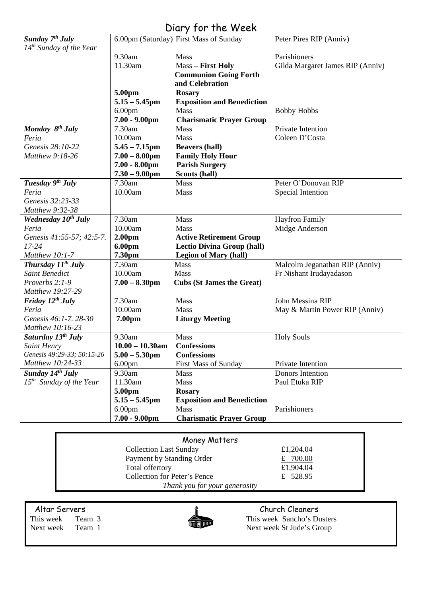# Diary for the Week

| Sunday 7 <sup>th</sup> July     |                    | 6.00pm (Saturday) First Mass of Sunday | Peter Pires RIP (Anniv)          |
|---------------------------------|--------------------|----------------------------------------|----------------------------------|
| $14^{th}$ Sunday of the Year    |                    |                                        |                                  |
|                                 | 9.30am             | Mass                                   | Parishioners                     |
|                                 | 11.30am            | Mass - First Holy                      | Gilda Margaret James RIP (Anniv) |
|                                 |                    | <b>Communion Going Forth</b>           |                                  |
|                                 |                    | and Celebration                        |                                  |
|                                 | 5.00pm             | <b>Rosary</b>                          |                                  |
|                                 | $5.15 - 5.45$ pm   | <b>Exposition and Benediction</b>      |                                  |
|                                 | 6.00 <sub>pm</sub> | <b>Mass</b>                            | <b>Bobby Hobbs</b>               |
|                                 | $7.00 - 9.00$ pm   | <b>Charismatic Prayer Group</b>        |                                  |
| Monday $8^{th}$ July            | 7.30am             | <b>Mass</b>                            | Private Intention                |
| Feria                           | 10.00am            | Mass                                   | Coleen D'Costa                   |
| Genesis 28:10-22                | $5.45 - 7.15$ pm   | <b>Beavers (hall)</b>                  |                                  |
| Matthew 9:18-26                 | $7.00 - 8.00$ pm   | <b>Family Holy Hour</b>                |                                  |
|                                 | $7.00 - 8.00$ pm   | <b>Parish Surgery</b>                  |                                  |
|                                 | $7.30 - 9.00$ pm   | Scouts (hall)                          |                                  |
| Tuesday 9th July                | 7.30am             | Mass                                   | Peter O'Donovan RIP              |
| Feria                           | 10.00am            | Mass                                   | Special Intention                |
| Genesis 32:23-33                |                    |                                        |                                  |
| Matthew 9:32-38                 |                    |                                        |                                  |
| Wednesday 10 <sup>th</sup> July | 7.30am             | Mass                                   | <b>Hayfron Family</b>            |
| Feria                           | 10.00am            | <b>Mass</b>                            | Midge Anderson                   |
| Genesis 41:55-57; 42:5-7.       | 2.00 <sub>pm</sub> | <b>Active Retirement Group</b>         |                                  |
| $17 - 24$                       | 6.00pm             | <b>Lectio Divina Group (hall)</b>      |                                  |
| Matthew 10:1-7                  | 7.30pm             | <b>Legion of Mary (hall)</b>           |                                  |
| Thursday $11^{th}$ July         | 7.30am             | <b>Mass</b>                            | Malcolm Jeganathan RIP (Anniv)   |
| <b>Saint Benedict</b>           | 10.00am            | Mass                                   | Fr Nishant Irudayadason          |
| Proverbs 2:1-9                  | $7.00 - 8.30$ pm   | <b>Cubs (St James the Great)</b>       |                                  |
| Matthew 19:27-29                |                    |                                        |                                  |
| Friday $12^{th}$ July           | 7.30am             | Mass                                   | John Messina RIP                 |
| Feria                           | 10.00am            | Mass                                   | May & Martin Power RIP (Anniv)   |
| Genesis 46:1-7.28-30            | 7.00pm             | <b>Liturgy Meeting</b>                 |                                  |
| Matthew 10:16-23                |                    |                                        |                                  |
| Saturday 13 <sup>th</sup> July  | 9.30am             | Mass                                   | <b>Holy Souls</b>                |
| Saint Henry                     | $10.00 - 10.30$ am | <b>Confessions</b>                     |                                  |
| Genesis 49:29-33; 50:15-26      | $5.00 - 5.30$ pm   | <b>Confessions</b>                     |                                  |
| Matthew 10:24-33                | 6.00 <sub>pm</sub> | <b>First Mass of Sunday</b>            | Private Intention                |
| Sunday $14^{th}$ July           | 9.30am             | Mass                                   | <b>Donors Intention</b>          |
| $15th$ Sunday of the Year       | 11.30am            | Mass                                   | Paul Etuka RIP                   |
|                                 | 5.00pm             | <b>Rosary</b>                          |                                  |
|                                 | $5.15 - 5.45$ pm   | <b>Exposition and Benediction</b>      |                                  |
|                                 | 6.00 <sub>pm</sub> | Mass                                   | Parishioners                     |
|                                 | $7.00 - 9.00$ pm   | <b>Charismatic Prayer Group</b>        |                                  |

| Money Matters                 |           |  |  |  |
|-------------------------------|-----------|--|--|--|
| <b>Collection Last Sunday</b> | £1,204.04 |  |  |  |
| Payment by Standing Order     | £ 700.00  |  |  |  |
| Total offertory               | £1,904.04 |  |  |  |
| Collection for Peter's Pence  | £ 528.95  |  |  |  |
| Thank you for your generosity |           |  |  |  |

Altar Servers Church Cleaners<br>
This week Team 3<br>
This week Sancho's Dunch Cleaners<br>
Church Cleaners



This week Team 3 This week Sancho's Dusters<br>
Next week St Jude's Group Next week St Jude's Group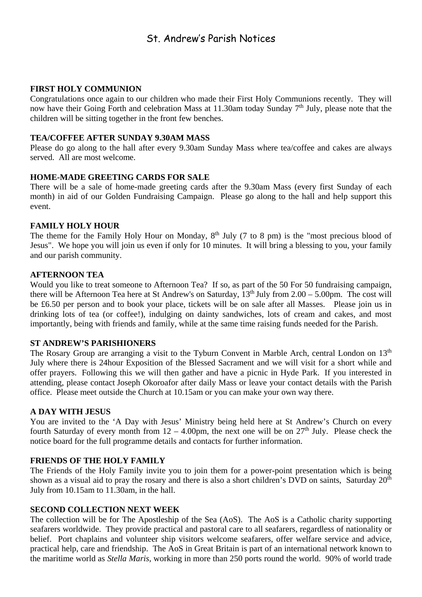### St. Andrew's Parish Notices

#### **FIRST HOLY COMMUNION**

Congratulations once again to our children who made their First Holy Communions recently. They will now have their Going Forth and celebration Mass at 11.30am today Sunday  $7<sup>th</sup>$  July, please note that the children will be sitting together in the front few benches.

#### **TEA/COFFEE AFTER SUNDAY 9.30AM MASS**

Please do go along to the hall after every 9.30am Sunday Mass where tea/coffee and cakes are always served. All are most welcome.

#### **HOME-MADE GREETING CARDS FOR SALE**

There will be a sale of home-made greeting cards after the 9.30am Mass (every first Sunday of each month) in aid of our Golden Fundraising Campaign. Please go along to the hall and help support this event.

#### **FAMILY HOLY HOUR**

The theme for the Family Holy Hour on Monday,  $8<sup>th</sup>$  July (7 to 8 pm) is the "most precious blood of Jesus". We hope you will join us even if only for 10 minutes. It will bring a blessing to you, your family and our parish community.

#### **AFTERNOON TEA**

Would you like to treat someone to Afternoon Tea? If so, as part of the 50 For 50 fundraising campaign, there will be Afternoon Tea here at St Andrew's on Saturday,  $13<sup>th</sup>$  July from 2.00 – 5.00pm. The cost will be £6.50 per person and to book your place, tickets will be on sale after all Masses. Please join us in drinking lots of tea (or coffee!), indulging on dainty sandwiches, lots of cream and cakes, and most importantly, being with friends and family, while at the same time raising funds needed for the Parish.

#### **ST ANDREW'S PARISHIONERS**

The Rosary Group are arranging a visit to the Tyburn Convent in Marble Arch, central London on 13<sup>th</sup> July where there is 24hour Exposition of the Blessed Sacrament and we will visit for a short while and offer prayers. Following this we will then gather and have a picnic in Hyde Park. If you interested in attending, please contact Joseph Okoroafor after daily Mass or leave your contact details with the Parish office. Please meet outside the Church at 10.15am or you can make your own way there.

#### **A DAY WITH JESUS**

You are invited to the 'A Day with Jesus' Ministry being held here at St Andrew's Church on every fourth Saturday of every month from  $12 - 4.00$ pm, the next one will be on  $27<sup>th</sup>$  July. Please check the notice board for the full programme details and contacts for further information.

#### **FRIENDS OF THE HOLY FAMILY**

The Friends of the Holy Family invite you to join them for a power-point presentation which is being shown as a visual aid to pray the rosary and there is also a short children's DVD on saints, Saturday 20<sup>th</sup> July from 10.15am to 11.30am, in the hall.

#### **SECOND COLLECTION NEXT WEEK**

The collection will be for The Apostleship of the Sea (AoS). The AoS is a Catholic charity supporting seafarers worldwide. They provide practical and pastoral care to all seafarers, regardless of nationality or belief. Port chaplains and volunteer ship visitors welcome seafarers, offer welfare service and advice, practical help, care and friendship. The AoS in Great Britain is part of an international network known to the maritime world as *Stella Maris,* working in more than 250 ports round the world. 90% of world trade